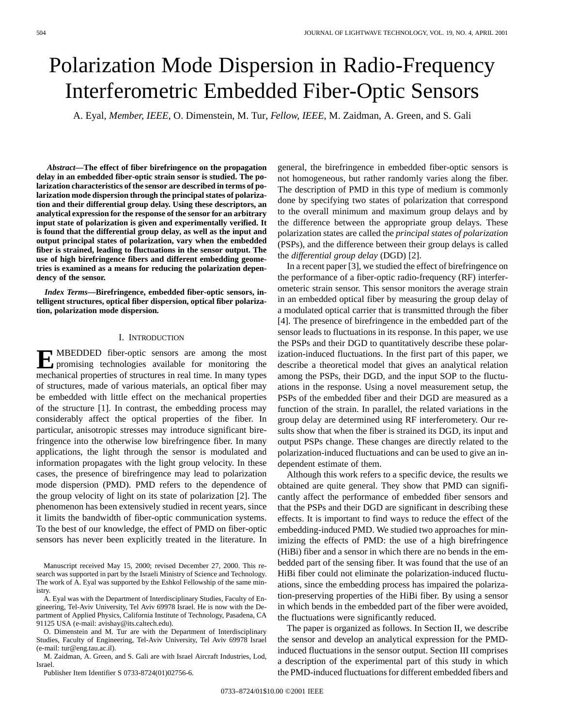# Polarization Mode Dispersion in Radio-Frequency Interferometric Embedded Fiber-Optic Sensors

A. Eyal*, Member, IEEE*, O. Dimenstein, M. Tur*, Fellow, IEEE*, M. Zaidman, A. Green, and S. Gali

*Abstract—***The effect of fiber birefringence on the propagation delay in an embedded fiber-optic strain sensor is studied. The polarization characteristics of the sensor are described in terms of polarization mode dispersion through the principal states of polarization and their differential group delay. Using these descriptors, an analytical expression for the response of the sensor for an arbitrary input state of polarization is given and experimentally verified. It is found that the differential group delay, as well as the input and output principal states of polarization, vary when the embedded fiber is strained, leading to fluctuations in the sensor output. The use of high birefringence fibers and different embedding geometries is examined as a means for reducing the polarization dependency of the sensor.**

*Index Terms—***Birefringence, embedded fiber-optic sensors, intelligent structures, optical fiber dispersion, optical fiber polarization, polarization mode dispersion.**

## I. INTRODUCTION

**E** MBEDDED fiber-optic sensors are among the most promising technologies available for monitoring the matchesized properties of structures in real time. In magnetices mechanical properties of structures in real time. In many types of structures, made of various materials, an optical fiber may be embedded with little effect on the mechanical properties of the structure [\[1](#page-7-0)]. In contrast, the embedding process may considerably affect the optical properties of the fiber. In particular, anisotropic stresses may introduce significant birefringence into the otherwise low birefringence fiber. In many applications, the light through the sensor is modulated and information propagates with the light group velocity. In these cases, the presence of birefringence may lead to polarization mode dispersion (PMD). PMD refers to the dependence of the group velocity of light on its state of polarization [\[2](#page-7-0)]. The phenomenon has been extensively studied in recent years, since it limits the bandwidth of fiber-optic communication systems. To the best of our knowledge, the effect of PMD on fiber-optic sensors has never been explicitly treated in the literature. In

Manuscript received May 15, 2000; revised December 27, 2000. This research was supported in part by the Israeli Ministry of Science and Technology. The work of A. Eyal was supported by the Eshkol Fellowship of the same ministry.

A. Eyal was with the Department of Interdisciplinary Studies, Faculty of Engineering, Tel-Aviv University, Tel Aviv 69978 Israel. He is now with the Department of Applied Physics, California Institute of Technology, Pasadena, CA 91125 USA (e-mail: avishay@its.caltech.edu).

O. Dimenstein and M. Tur are with the Department of Interdisciplinary Studies, Faculty of Engineering, Tel-Aviv University, Tel Aviv 69978 Israel (e-mail: tur@eng.tau.ac.il).

M. Zaidman, A. Green, and S. Gali are with Israel Aircraft Industries, Lod, Israel.

Publisher Item Identifier S 0733-8724(01)02756-6.

general, the birefringence in embedded fiber-optic sensors is not homogeneous, but rather randomly varies along the fiber. The description of PMD in this type of medium is commonly done by specifying two states of polarization that correspond to the overall minimum and maximum group delays and by the difference between the appropriate group delays. These polarization states are called the *principal states of polarization* (PSPs), and the difference between their group delays is called the *differential group delay* (DGD) [[2\]](#page-7-0).

In a recent paper [[3\]](#page-7-0), we studied the effect of birefringence on the performance of a fiber-optic radio-frequency (RF) interferometeric strain sensor. This sensor monitors the average strain in an embedded optical fiber by measuring the group delay of a modulated optical carrier that is transmitted through the fiber [[4\]](#page-7-0). The presence of birefringence in the embedded part of the sensor leads to fluctuations in its response. In this paper, we use the PSPs and their DGD to quantitatively describe these polarization-induced fluctuations. In the first part of this paper, we describe a theoretical model that gives an analytical relation among the PSPs, their DGD, and the input SOP to the fluctuations in the response. Using a novel measurement setup, the PSPs of the embedded fiber and their DGD are measured as a function of the strain. In parallel, the related variations in the group delay are determined using RF interferometery. Our results show that when the fiber is strained its DGD, its input and output PSPs change. These changes are directly related to the polarization-induced fluctuations and can be used to give an independent estimate of them.

Although this work refers to a specific device, the results we obtained are quite general. They show that PMD can significantly affect the performance of embedded fiber sensors and that the PSPs and their DGD are significant in describing these effects. It is important to find ways to reduce the effect of the embedding-induced PMD. We studied two approaches for minimizing the effects of PMD: the use of a high birefringence (HiBi) fiber and a sensor in which there are no bends in the embedded part of the sensing fiber. It was found that the use of an HiBi fiber could not eliminate the polarization-induced fluctuations, since the embedding process has impaired the polarization-preserving properties of the HiBi fiber. By using a sensor in which bends in the embedded part of the fiber were avoided, the fluctuations were significantly reduced.

The paper is organized as follows. In Section II, we describe the sensor and develop an analytical expression for the PMDinduced fluctuations in the sensor output. Section III comprises a description of the experimental part of this study in which the PMD-induced fluctuations for different embedded fibers and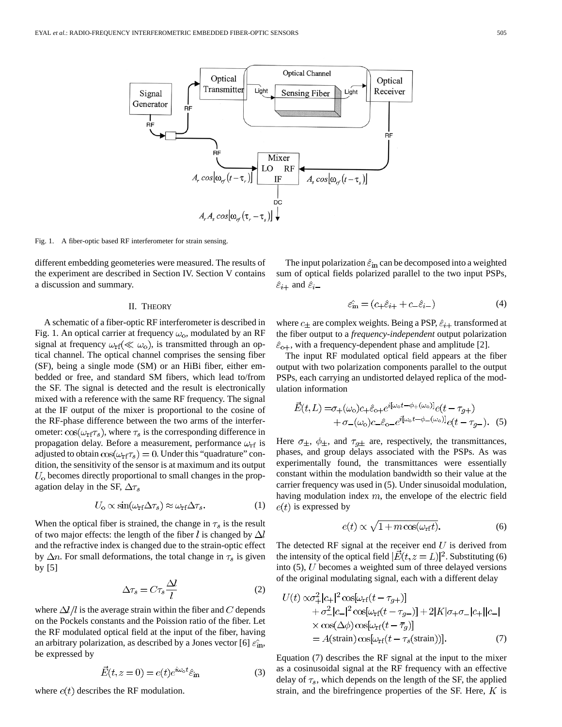

Fig. 1. A fiber-optic based RF interferometer for strain sensing.

different embedding geometeries were measured. The results of the experiment are described in Section IV. Section V contains a discussion and summary.

#### II. THEORY

A schematic of a fiber-optic RF interferometer is described in Fig. 1. An optical carrier at frequency  $\omega_{\rm o}$ , modulated by an RF signal at frequency  $\omega_{\rm rf}(\ll \omega_{\rm o})$ , is transmitted through an optical channel. The optical channel comprises the sensing fiber (SF), being a single mode (SM) or an HiBi fiber, either embedded or free, and standard SM fibers, which lead to/from the SF. The signal is detected and the result is electronically mixed with a reference with the same RF frequency. The signal at the IF output of the mixer is proportional to the cosine of the RF-phase difference between the two arms of the interferometer:  $\cos(\omega_{\text{rf}}\tau_s)$ , where  $\tau_s$  is the corresponding difference in propagation delay. Before a measurement, performance  $\omega_{\rm rf}$  is adjusted to obtain  $\cos(\omega_{\text{rf}}\tau_s) = 0$ . Under this "quadrature" condition, the sensitivity of the sensor is at maximum and its output  $U_{o}$  becomes directly proportional to small changes in the propagation delay in the SF,  $\Delta \tau_s$ 

$$
U_{\rm o} \propto \sin(\omega_{\rm rf} \Delta \tau_s) \approx \omega_{\rm rf} \Delta \tau_s. \tag{1}
$$

When the optical fiber is strained, the change in  $\tau_s$  is the result of two major effects: the length of the fiber l is changed by  $\Delta l$ and the refractive index is changed due to the strain-optic effect by  $\Delta n$ . For small deformations, the total change in  $\tau_s$  is given by [\[5](#page-7-0)]

$$
\Delta \tau_s = C \tau_s \frac{\Delta l}{l} \tag{2}
$$

where  $\Delta l/l$  is the average strain within the fiber and C depends on the Pockels constants and the Poission ratio of the fiber. Let the RF modulated optical field at the input of the fiber, having an arbitrary polarization, as described by a Jones vector [\[6](#page-7-0)]  $\hat{\epsilon}_{\text{in}}$ , be expressed by

$$
\vec{E}(t, z=0) = e(t)e^{i\omega_0 t}\hat{\varepsilon}_{\text{in}} \tag{3}
$$

where  $e(t)$  describes the RF modulation.

The input polarization  $\hat{\epsilon}_{in}$  can be decomposed into a weighted sum of optical fields polarized parallel to the two input PSPs,  $\hat{\varepsilon}_{i+}$  and  $\hat{\varepsilon}_{i-}$ 

$$
\hat{\epsilon}_{\mathbf{in}} = (c_+\hat{\epsilon}_{i+} + c_-\hat{\epsilon}_{i-})\tag{4}
$$

where  $c_{\pm}$  are complex weights. Being a PSP,  $\hat{\varepsilon}_{i+}$  transformed at the fiber output to a *frequency-independent* output polarization  $\hat{\epsilon}_{o+}$ , with a frequency-dependent phase and amplitude [\[2](#page-7-0)].

The input RF modulated optical field appears at the fiber output with two polarization components parallel to the output PSPs, each carrying an undistorted delayed replica of the modulation information

$$
\vec{E}(t,L) = \sigma_+(\omega_0)c_+\hat{\varepsilon}_{0+}e^{i[\omega_0 t - \phi_+(\omega_0)]}e(t - \tau_{g+})
$$
  
 
$$
+ \sigma_-(\omega_0)c_-\hat{\varepsilon}_{0-}e^{i[\omega_0 t - \phi_-(\omega_0)]}e(t - \tau_{g-}).
$$
 (5)

Here  $\sigma_{\pm}$ ,  $\phi_{\pm}$ , and  $\tau_{g\pm}$  are, respectively, the transmittances, phases, and group delays associated with the PSPs. As was experimentally found, the transmittances were essentially constant within the modulation bandwidth so their value at the carrier frequency was used in (5). Under sinusoidal modulation, having modulation index  $m$ , the envelope of the electric field  $e(t)$  is expressed by

$$
e(t) \propto \sqrt{1 + m \cos(\omega_{\text{rf}} t)}.
$$
 (6)

The detected RF signal at the receiver end  $U$  is derived from the intensity of the optical field  $|\vec{E}(t, z = L)|^2$ . Substituting (6) into  $(5)$ ,  $U$  becomes a weighted sum of three delayed versions of the original modulating signal, each with a different delay

$$
U(t) \propto \sigma_+^2 |c_+|^2 \cos[\omega_{\rm rf}(t - \tau_{g+})]
$$
  
+  $\sigma_-^2 |c_-|^2 \cos[\omega_{\rm rf}(t - \tau_{g-})] + 2|K|\sigma_+ \sigma_- |c_+||c_-|$   
×  $\cos(\Delta \phi) \cos[\omega_{\rm rf}(t - \overline{\tau}_g)]$   
=  $A(\text{strain}) \cos[\omega_{\rm rf}(t - \tau_s(\text{strain}))].$  (7)

Equation (7) describes the RF signal at the input to the mixer as a cosinusoidal signal at the RF frequency with an effective delay of  $\tau_s$ , which depends on the length of the SF, the applied strain, and the birefringence properties of the SF. Here,  $K$  is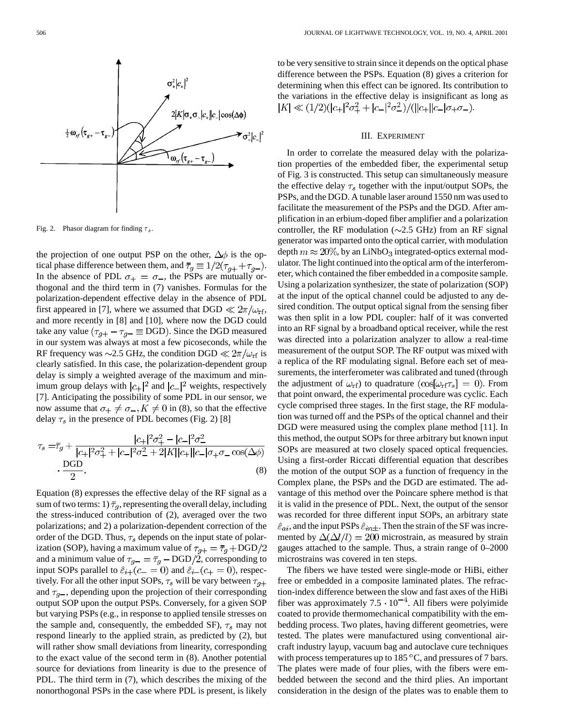

Fig. 2. Phasor diagram for finding  $\tau_s$ .

the projection of one output PSP on the other,  $\Delta \phi$  is the optical phase difference between them, and  $\bar{\tau}_g \equiv 1/2(\tau_{g+} + \tau_{g-})$ . In the absence of PDL  $\sigma_+ = \sigma_-$ , the PSPs are mutually orthogonal and the third term in (7) vanishes. Formulas for the polarization-dependent effective delay in the absence of PDL first appeared in [[7\]](#page-7-0), where we assumed that DGD  $\ll 2\pi/\omega_{\text{rf}}$ , and more recently in [\[8](#page-7-0)] and [\[10](#page-7-0)], where now the DGD could take any value  $(\tau_{g+} - \tau_{g-} \equiv$  DGD). Since the DGD measured in our system was always at most a few picoseconds, while the RF frequency was  $\sim$ 2.5 GHz, the condition DGD  $\ll$  2 $\pi/\omega_{\rm rf}$  is clearly satisfied. In this case, the polarization-dependent group delay is simply a weighted average of the maximum and minimum group delays with  $|c_{+}|^2$  and  $|c_{-}|^2$  weights, respectively [[7\]](#page-7-0). Anticipating the possibility of some PDL in our sensor, we now assume that  $\sigma_+ \neq \sigma_-, K \neq 0$  in (8), so that the effective delay  $\tau_s$  in the presence of PDL becomes (Fig. 2) [\[8](#page-7-0)]

$$
\tau_s = \bar{\tau}_g + \frac{|c_+|^2 \sigma_+^2 - |c_-|^2 \sigma_-^2}{|c_+|^2 \sigma_+^2 + |c_-|^2 \sigma_-^2 + 2|K||c_+||c_-|\sigma_+ \sigma_- \cos(\Delta \phi)}
$$
  
.  
OGD  
. (8)

Equation (8) expresses the effective delay of the RF signal as a sum of two terms: 1)  $\bar{\tau}_g$ , representing the overall delay, including the stress-induced contribution of (2), averaged over the two polarizations; and 2) a polarization-dependent correction of the order of the DGD. Thus,  $\tau_s$  depends on the input state of polarization (SOP), having a maximum value of  $\tau_{g+} = \bar{\tau}_g + \text{DGD}/2$ and a minimum value of  $\tau_{g-} = \bar{\tau}_g - \text{DGD}/2$ , corresponding to input SOPs parallel to  $\hat{\varepsilon}_{i+}(c_- = 0)$  and  $\hat{\varepsilon}_{i-}(c_+ = 0)$ , respectively. For all the other input SOPs,  $\tau_s$  will be vary between  $\tau_{g+}$ and  $\tau_{g-}$ , depending upon the projection of their corresponding output SOP upon the output PSPs. Conversely, for a given SOP but varying PSPs (e.g., in response to applied tensile stresses on the sample and, consequently, the embedded SF),  $\tau_s$  may not respond linearly to the applied strain, as predicted by (2), but will rather show small deviations from linearity, corresponding to the exact value of the second term in (8). Another potential source for deviations from linearity is due to the presence of PDL. The third term in (7), which describes the mixing of the nonorthogonal PSPs in the case where PDL is present, is likely to be very sensitive to strain since it depends on the optical phase difference between the PSPs. Equation (8) gives a criterion for determining when this effect can be ignored. Its contribution to the variations in the effective delay is insignificant as long as  $|K| \ll (1/2)(|c_+|^2 \sigma_+^2 + |c_-|^2 \sigma_-^2)/(||c_+||c_-|\sigma_+ \sigma_-).$ 

# III. EXPERIMENT

In order to correlate the measured delay with the polarization properties of the embedded fiber, the experimental setup of Fig. 3 is constructed. This setup can simultaneously measure the effective delay  $\tau_s$  together with the input/output SOPs, the PSPs, and the DGD. A tunable laser around 1550 nm was used to facilitate the measurement of the PSPs and the DGD. After amplification in an erbium-doped fiber amplifier and a polarization controller, the RF modulation  $(\sim 2.5 \text{ GHz})$  from an RF signal generator was imparted onto the optical carrier, with modulation depth  $m \approx 20\%$ , by an LiNbO<sub>3</sub> integrated-optics external modulator. The light continued into the optical arm of the interferometer, which contained the fiber embedded in a composite sample. Using a polarization synthesizer, the state of polarization (SOP) at the input of the optical channel could be adjusted to any desired condition. The output optical signal from the sensing fiber was then split in a low PDL coupler: half of it was converted into an RF signal by a broadband optical receiver, while the rest was directed into a polarization analyzer to allow a real-time measurement of the output SOP. The RF output was mixed with a replica of the RF modulating signal. Before each set of measurements, the interferometer was calibrated and tuned (through the adjustment of  $\omega_{\text{rf}}$  to quadrature  $(\cos[\omega_{\text{rf}}\tau_s] = 0)$ . From that point onward, the experimental procedure was cyclic. Each cycle comprised three stages. In the first stage, the RF modulation was turned off and the PSPs of the optical channel and their DGD were measured using the complex plane method [[11\]](#page-7-0). In this method, the output SOPs for three arbitrary but known input SOPs are measured at two closely spaced optical frequencies. Using a first-order Riccati differential equation that describes the motion of the output SOP as a function of frequency in the Complex plane, the PSPs and the DGD are estimated. The advantage of this method over the Poincare sphere method is that it is valid in the presence of PDL. Next, the output of the sensor was recorded for three different input SOPs, an arbitrary state  $\hat{\epsilon}_{ai}$ , and the input PSPs  $\hat{\epsilon}_{in\pm}$ . Then the strain of the SF was incremented by  $\Delta(\Delta l/l) = 200$  microstrain, as measured by strain gauges attached to the sample. Thus, a strain range of 0–2000 microstrains was covered in ten steps.

The fibers we have tested were single-mode or HiBi, either free or embedded in a composite laminated plates. The refraction-index difference between the slow and fast axes of the HiBi fiber was approximately  $7.5 \cdot 10^{-4}$ . All fibers were polyimide coated to provide thermomechanical compatibility with the embedding process. Two plates, having different geometries, were tested. The plates were manufactured using conventional aircraft industry layup, vacuum bag and autoclave cure techniques with process temperatures up to 185 $\degree$ C, and pressures of 7 bars. The plates were made of four plies, with the fibers were embedded between the second and the third plies. An important consideration in the design of the plates was to enable them to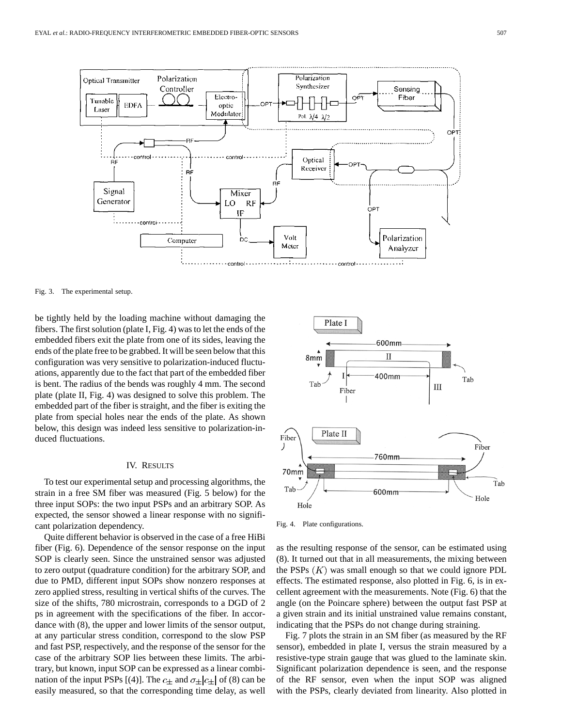

Fig. 3. The experimental setup.

be tightly held by the loading machine without damaging the fibers. The first solution (plate I, Fig. 4) was to let the ends of the embedded fibers exit the plate from one of its sides, leaving the ends of the plate free to be grabbed. It will be seen below that this configuration was very sensitive to polarization-induced fluctuations, apparently due to the fact that part of the embedded fiber is bent. The radius of the bends was roughly 4 mm. The second plate (plate II, Fig. 4) was designed to solve this problem. The embedded part of the fiber is straight, and the fiber is exiting the plate from special holes near the ends of the plate. As shown below, this design was indeed less sensitive to polarization-induced fluctuations.

## IV. RESULTS

To test our experimental setup and processing algorithms, the strain in a free SM fiber was measured (Fig. 5 below) for the three input SOPs: the two input PSPs and an arbitrary SOP. As expected, the sensor showed a linear response with no significant polarization dependency.

Quite different behavior is observed in the case of a free HiBi fiber (Fig. 6). Dependence of the sensor response on the input SOP is clearly seen. Since the unstrained sensor was adjusted to zero output (quadrature condition) for the arbitrary SOP, and due to PMD, different input SOPs show nonzero responses at zero applied stress, resulting in vertical shifts of the curves. The size of the shifts, 780 microstrain, corresponds to a DGD of 2 ps in agreement with the specifications of the fiber. In accordance with (8), the upper and lower limits of the sensor output, at any particular stress condition, correspond to the slow PSP and fast PSP, respectively, and the response of the sensor for the case of the arbitrary SOP lies between these limits. The arbitrary, but known, input SOP can be expressed as a linear combination of the input PSPs [(4)]. The  $c_{\pm}$  and  $\sigma_{\pm}|c_{\pm}|$  of (8) can be easily measured, so that the corresponding time delay, as well



Fig. 4. Plate configurations.

as the resulting response of the sensor, can be estimated using (8). It turned out that in all measurements, the mixing between the PSPs  $(K)$  was small enough so that we could ignore PDL effects. The estimated response, also plotted in Fig. 6, is in excellent agreement with the measurements. Note (Fig. 6) that the angle (on the Poincare sphere) between the output fast PSP at a given strain and its initial unstrained value remains constant, indicating that the PSPs do not change during straining.

Fig. 7 plots the strain in an SM fiber (as measured by the RF sensor), embedded in plate I, versus the strain measured by a resistive-type strain gauge that was glued to the laminate skin. Significant polarization dependence is seen, and the response of the RF sensor, even when the input SOP was aligned with the PSPs, clearly deviated from linearity. Also plotted in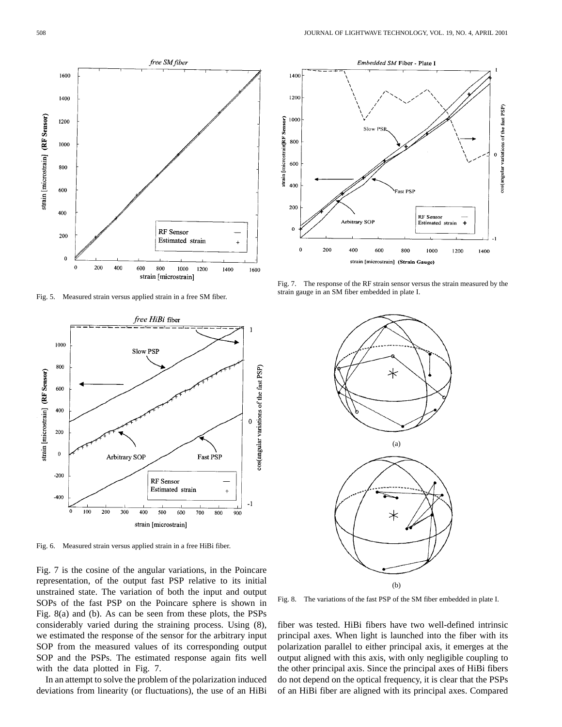

Fig. 5. Measured strain versus applied strain in a free SM fiber.



Fig. 6. Measured strain versus applied strain in a free HiBi fiber.

Fig. 7 is the cosine of the angular variations, in the Poincare representation, of the output fast PSP relative to its initial unstrained state. The variation of both the input and output SOPs of the fast PSP on the Poincare sphere is shown in Fig. 8(a) and (b). As can be seen from these plots, the PSPs considerably varied during the straining process. Using (8), we estimated the response of the sensor for the arbitrary input SOP from the measured values of its corresponding output SOP and the PSPs. The estimated response again fits well with the data plotted in Fig. 7.

In an attempt to solve the problem of the polarization induced deviations from linearity (or fluctuations), the use of an HiBi



Fig. 7. The response of the RF strain sensor versus the strain measured by the strain gauge in an SM fiber embedded in plate I.



Fig. 8. The variations of the fast PSP of the SM fiber embedded in plate I.

fiber was tested. HiBi fibers have two well-defined intrinsic principal axes. When light is launched into the fiber with its polarization parallel to either principal axis, it emerges at the output aligned with this axis, with only negligible coupling to the other principal axis. Since the principal axes of HiBi fibers do not depend on the optical frequency, it is clear that the PSPs of an HiBi fiber are aligned with its principal axes. Compared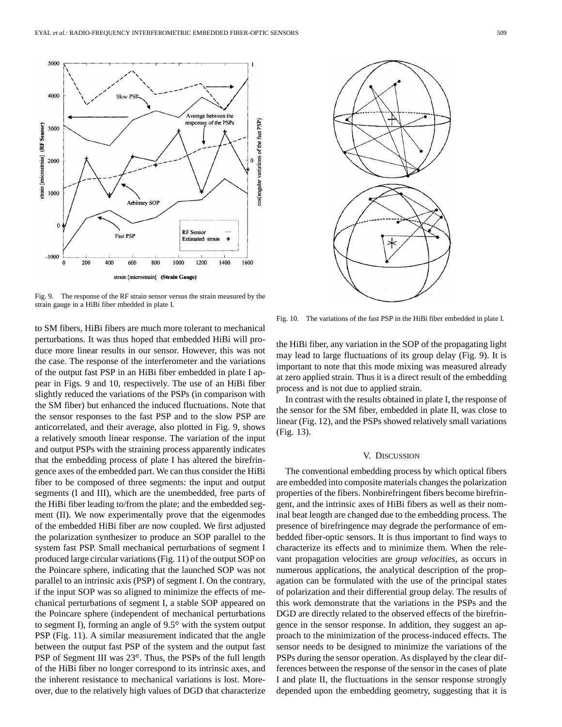

Fig. 9. The response of the RF strain sensor versus the strain measured by the strain gauge in a HiBi fiber mbedded in plate I.

to SM fibers, HiBi fibers are much more tolerant to mechanical perturbations. It was thus hoped that embedded HiBi will produce more linear results in our sensor. However, this was not the case. The response of the interferometer and the variations of the output fast PSP in an HiBi fiber embedded in plate I appear in Figs. 9 and 10, respectively. The use of an HiBi fiber slightly reduced the variations of the PSPs (in comparison with the SM fiber) but enhanced the induced fluctuations. Note that the sensor responses to the fast PSP and to the slow PSP are anticorrelated, and their average, also plotted in Fig. 9, shows a relatively smooth linear response. The variation of the input and output PSPs with the straining process apparently indicates that the embedding process of plate I has altered the birefringence axes of the embedded part. We can thus consider the HiBi fiber to be composed of three segments: the input and output segments (I and III), which are the unembedded, free parts of the HiBi fiber leading to/from the plate; and the embedded segment (II). We now experimentally prove that the eigenmodes of the embedded HiBi fiber are now coupled. We first adjusted the polarization synthesizer to produce an SOP parallel to the system fast PSP. Small mechanical perturbations of segment I produced large circular variations (Fig. 11) of the output SOP on the Poincare sphere, indicating that the launched SOP was not parallel to an intrinsic axis (PSP) of segment I. On the contrary, if the input SOP was so aligned to minimize the effects of mechanical perturbations of segment I, a stable SOP appeared on the Poincare sphere (independent of mechanical perturbations to segment I), forming an angle of  $9.5^\circ$  with the system output PSP (Fig. 11). A similar measurement indicated that the angle between the output fast PSP of the system and the output fast PSP of Segment III was 23°. Thus, the PSPs of the full length of the HiBi fiber no longer correspond to its intrinsic axes, and the inherent resistance to mechanical variations is lost. Moreover, due to the relatively high values of DGD that characterize



Fig. 10. The variations of the fast PSP in the HiBi fiber embedded in plate I.

the HiBi fiber, any variation in the SOP of the propagating light may lead to large fluctuations of its group delay (Fig. 9). It is important to note that this mode mixing was measured already at zero applied strain. Thus it is a direct result of the embedding process and is not due to applied strain.

In contrast with the results obtained in plate I, the response of the sensor for the SM fiber, embedded in plate II, was close to linear (Fig. 12), and the PSPs showed relatively small variations (Fig. 13).

## V. DISCUSSION

The conventional embedding process by which optical fibers are embedded into composite materials changes the polarization properties of the fibers. Nonbirefringent fibers become birefringent, and the intrinsic axes of HiBi fibers as well as their nominal beat length are changed due to the embedding process. The presence of birefringence may degrade the performance of embedded fiber-optic sensors. It is thus important to find ways to characterize its effects and to minimize them. When the relevant propagation velocities are *group velocities,* as occurs in numerous applications, the analytical description of the propagation can be formulated with the use of the principal states of polarization and their differential group delay. The results of this work demonstrate that the variations in the PSPs and the DGD are directly related to the observed effects of the birefringence in the sensor response. In addition, they suggest an approach to the minimization of the process-induced effects. The sensor needs to be designed to minimize the variations of the PSPs during the sensor operation. As displayed by the clear differences between the response of the sensor in the cases of plate I and plate II, the fluctuations in the sensor response strongly depended upon the embedding geometry, suggesting that it is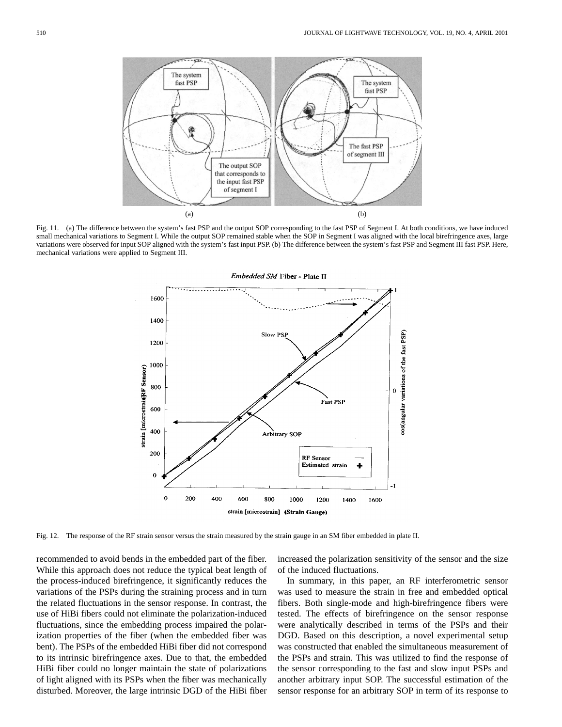

Fig. 11. (a) The difference between the system's fast PSP and the output SOP corresponding to the fast PSP of Segment I. At both conditions, we have induced small mechanical variations to Segment I. While the output SOP remained stable when the SOP in Segment I was aligned with the local birefringence axes, large variations were observed for input SOP aligned with the system's fast input PSP. (b) The difference between the system's fast PSP and Segment III fast PSP. Here, mechanical variations were applied to Segment III.



Fig. 12. The response of the RF strain sensor versus the strain measured by the strain gauge in an SM fiber embedded in plate II.

recommended to avoid bends in the embedded part of the fiber. While this approach does not reduce the typical beat length of the process-induced birefringence, it significantly reduces the variations of the PSPs during the straining process and in turn the related fluctuations in the sensor response. In contrast, the use of HiBi fibers could not eliminate the polarization-induced fluctuations, since the embedding process impaired the polarization properties of the fiber (when the embedded fiber was bent). The PSPs of the embedded HiBi fiber did not correspond to its intrinsic birefringence axes. Due to that, the embedded HiBi fiber could no longer maintain the state of polarizations of light aligned with its PSPs when the fiber was mechanically disturbed. Moreover, the large intrinsic DGD of the HiBi fiber increased the polarization sensitivity of the sensor and the size of the induced fluctuations.

In summary, in this paper, an RF interferometric sensor was used to measure the strain in free and embedded optical fibers. Both single-mode and high-birefringence fibers were tested. The effects of birefringence on the sensor response were analytically described in terms of the PSPs and their DGD. Based on this description, a novel experimental setup was constructed that enabled the simultaneous measurement of the PSPs and strain. This was utilized to find the response of the sensor corresponding to the fast and slow input PSPs and another arbitrary input SOP. The successful estimation of the sensor response for an arbitrary SOP in term of its response to